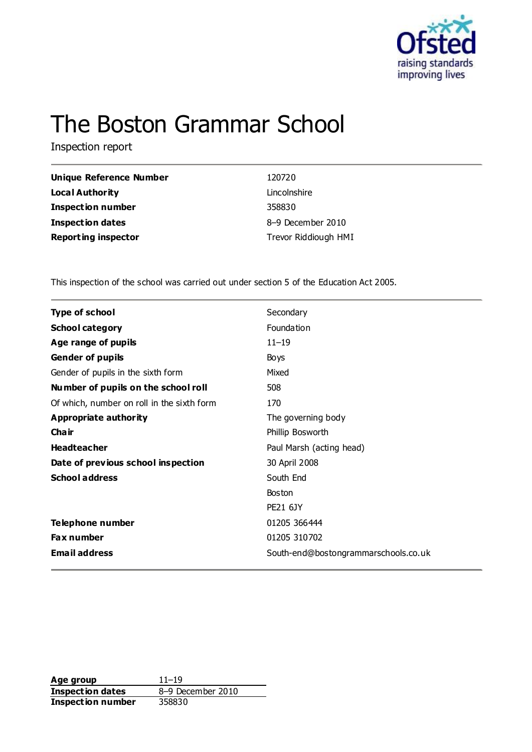

# The Boston Grammar School

Inspection report

| 120720               |
|----------------------|
| Lincolnshire         |
| 358830               |
| 8-9 December 2010    |
| Trevor Riddiough HMI |
|                      |

This inspection of the school was carried out under section 5 of the Education Act 2005.

| <b>Type of school</b>                      | Secondary                            |
|--------------------------------------------|--------------------------------------|
| <b>School category</b>                     | Foundation                           |
| Age range of pupils                        | $11 - 19$                            |
| <b>Gender of pupils</b>                    | Boys                                 |
| Gender of pupils in the sixth form         | Mixed                                |
| Number of pupils on the school roll        | 508                                  |
| Of which, number on roll in the sixth form | 170                                  |
| <b>Appropriate authority</b>               | The governing body                   |
| Cha ir                                     | Phillip Bosworth                     |
| <b>Headteacher</b>                         | Paul Marsh (acting head)             |
| Date of previous school inspection         | 30 April 2008                        |
| <b>School address</b>                      | South End                            |
|                                            | <b>Boston</b>                        |
|                                            | <b>PE21 6JY</b>                      |
| Telephone number                           | 01205 366444                         |
| <b>Fax number</b>                          | 01205 310702                         |
| <b>Email address</b>                       | South-end@bostongrammarschools.co.uk |
|                                            |                                      |

**Age group** 11–19 **Inspection dates** 8–9 December 2010 **Inspection number** 358830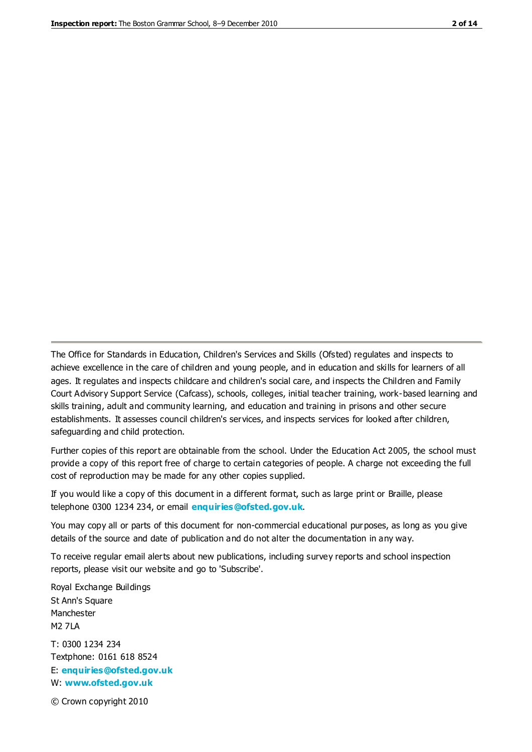The Office for Standards in Education, Children's Services and Skills (Ofsted) regulates and inspects to achieve excellence in the care of children and young people, and in education and skills for learners of all ages. It regulates and inspects childcare and children's social care, and inspects the Children and Family Court Advisory Support Service (Cafcass), schools, colleges, initial teacher training, work-based learning and skills training, adult and community learning, and education and training in prisons and other secure establishments. It assesses council children's services, and inspects services for looked after children, safeguarding and child protection.

Further copies of this report are obtainable from the school. Under the Education Act 2005, the school must provide a copy of this report free of charge to certain categories of people. A charge not exceeding the full cost of reproduction may be made for any other copies supplied.

If you would like a copy of this document in a different format, such as large print or Braille, please telephone 0300 1234 234, or email **[enquiries@ofsted.gov.uk](mailto:enquiries@ofsted.gov.uk)**.

You may copy all or parts of this document for non-commercial educational purposes, as long as you give details of the source and date of publication and do not alter the documentation in any way.

To receive regular email alerts about new publications, including survey reports and school inspection reports, please visit our website and go to 'Subscribe'.

Royal Exchange Buildings St Ann's Square Manchester M2 7LA T: 0300 1234 234 Textphone: 0161 618 8524 E: **[enquiries@ofsted.gov.uk](mailto:enquiries@ofsted.gov.uk)** W: **[www.ofsted.gov.uk](http://www.ofsted.gov.uk/)**

© Crown copyright 2010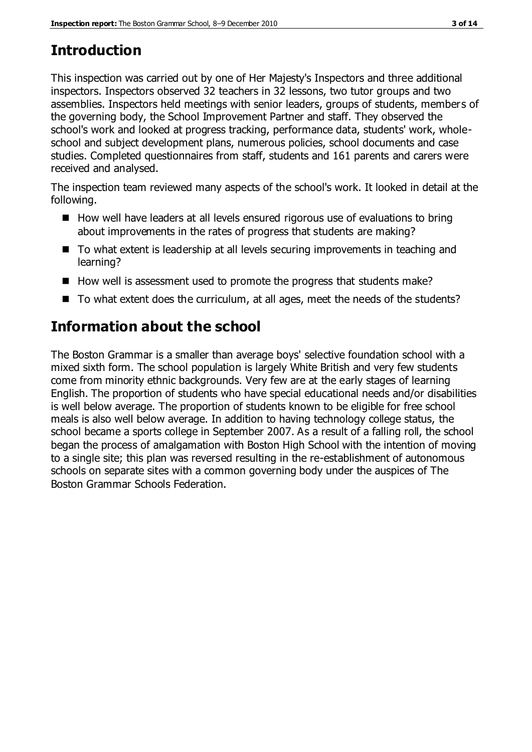## **Introduction**

This inspection was carried out by one of Her Majesty's Inspectors and three additional inspectors. Inspectors observed 32 teachers in 32 lessons, two tutor groups and two assemblies. Inspectors held meetings with senior leaders, groups of students, members of the governing body, the School Improvement Partner and staff. They observed the school's work and looked at progress tracking, performance data, students' work, wholeschool and subject development plans, numerous policies, school documents and case studies. Completed questionnaires from staff, students and 161 parents and carers were received and analysed.

The inspection team reviewed many aspects of the school's work. It looked in detail at the following.

- $\blacksquare$  How well have leaders at all levels ensured rigorous use of evaluations to bring about improvements in the rates of progress that students are making?
- To what extent is leadership at all levels securing improvements in teaching and learning?
- $\blacksquare$  How well is assessment used to promote the progress that students make?
- To what extent does the curriculum, at all ages, meet the needs of the students?

# **Information about the school**

The Boston Grammar is a smaller than average boys' selective foundation school with a mixed sixth form. The school population is largely White British and very few students come from minority ethnic backgrounds. Very few are at the early stages of learning English. The proportion of students who have special educational needs and/or disabilities is well below average. The proportion of students known to be eligible for free school meals is also well below average. In addition to having technology college status, the school became a sports college in September 2007. As a result of a falling roll, the school began the process of amalgamation with Boston High School with the intention of moving to a single site; this plan was reversed resulting in the re-establishment of autonomous schools on separate sites with a common governing body under the auspices of The Boston Grammar Schools Federation.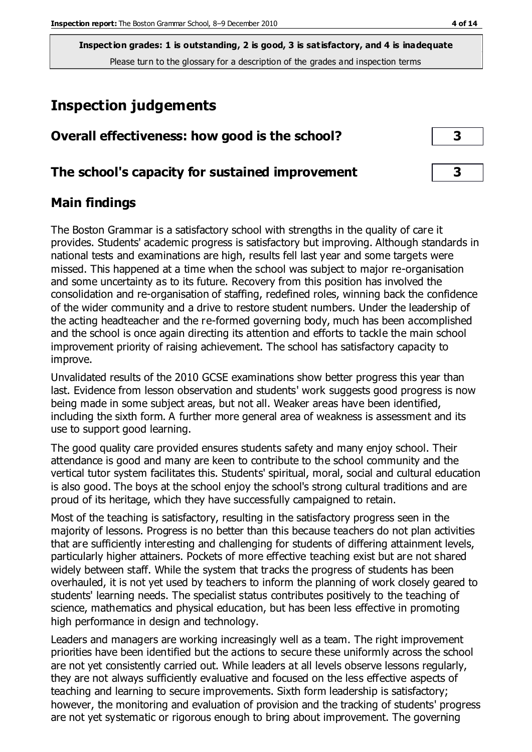## **Inspection judgements**

| Overall effectiveness: how good is the school?  |  |
|-------------------------------------------------|--|
| The school's capacity for sustained improvement |  |

## **Main findings**

The Boston Grammar is a satisfactory school with strengths in the quality of care it provides. Students' academic progress is satisfactory but improving. Although standards in national tests and examinations are high, results fell last year and some targets were missed. This happened at a time when the school was subject to major re-organisation and some uncertainty as to its future. Recovery from this position has involved the consolidation and re-organisation of staffing, redefined roles, winning back the confidence of the wider community and a drive to restore student numbers. Under the leadership of the acting headteacher and the re-formed governing body, much has been accomplished and the school is once again directing its attention and efforts to tackle the main school improvement priority of raising achievement. The school has satisfactory capacity to improve.

Unvalidated results of the 2010 GCSE examinations show better progress this year than last. Evidence from lesson observation and students' work suggests good progress is now being made in some subject areas, but not all. Weaker areas have been identified, including the sixth form. A further more general area of weakness is assessment and its use to support good learning.

The good quality care provided ensures students safety and many enjoy school. Their attendance is good and many are keen to contribute to the school community and the vertical tutor system facilitates this. Students' spiritual, moral, social and cultural education is also good. The boys at the school enjoy the school's strong cultural traditions and are proud of its heritage, which they have successfully campaigned to retain.

Most of the teaching is satisfactory, resulting in the satisfactory progress seen in the majority of lessons. Progress is no better than this because teachers do not plan activities that are sufficiently interesting and challenging for students of differing attainment levels, particularly higher attainers. Pockets of more effective teaching exist but are not shared widely between staff. While the system that tracks the progress of students has been overhauled, it is not yet used by teachers to inform the planning of work closely geared to students' learning needs. The specialist status contributes positively to the teaching of science, mathematics and physical education, but has been less effective in promoting high performance in design and technology.

Leaders and managers are working increasingly well as a team. The right improvement priorities have been identified but the actions to secure these uniformly across the school are not yet consistently carried out. While leaders at all levels observe lessons regularly, they are not always sufficiently evaluative and focused on the less effective aspects of teaching and learning to secure improvements. Sixth form leadership is satisfactory; however, the monitoring and evaluation of provision and the tracking of students' progress are not yet systematic or rigorous enough to bring about improvement. The governing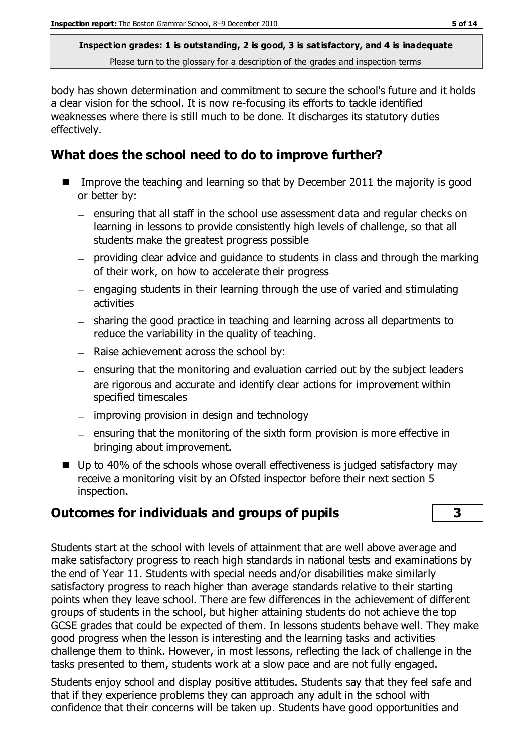body has shown determination and commitment to secure the school's future and it holds a clear vision for the school. It is now re-focusing its efforts to tackle identified weaknesses where there is still much to be done. It discharges its statutory duties effectively.

## **What does the school need to do to improve further?**

- Improve the teaching and learning so that by December 2011 the majority is good or better by:
	- ensuring that all staff in the school use assessment data and regular checks on learning in lessons to provide consistently high levels of challenge, so that all students make the greatest progress possible
	- providing clear advice and guidance to students in class and through the marking of their work, on how to accelerate their progress
	- $\overline{a}$  engaging students in their learning through the use of varied and stimulating activities
	- sharing the good practice in teaching and learning across all departments to reduce the variability in the quality of teaching.
	- $-$  Raise achievement across the school by:
	- $-$  ensuring that the monitoring and evaluation carried out by the subject leaders are rigorous and accurate and identify clear actions for improvement within specified timescales
	- $-$  improving provision in design and technology
	- $-$  ensuring that the monitoring of the sixth form provision is more effective in bringing about improvement.
- Up to 40% of the schools whose overall effectiveness is judged satisfactory may receive a monitoring visit by an Ofsted inspector before their next section 5 inspection.

## **Outcomes for individuals and groups of pupils 3**

Students start at the school with levels of attainment that are well above average and make satisfactory progress to reach high standards in national tests and examinations by the end of Year 11. Students with special needs and/or disabilities make similarly satisfactory progress to reach higher than average standards relative to their starting points when they leave school. There are few differences in the achievement of different groups of students in the school, but higher attaining students do not achieve the top GCSE grades that could be expected of them. In lessons students behave well. They make good progress when the lesson is interesting and the learning tasks and activities challenge them to think. However, in most lessons, reflecting the lack of challenge in the tasks presented to them, students work at a slow pace and are not fully engaged.

Students enjoy school and display positive attitudes. Students say that they feel safe and that if they experience problems they can approach any adult in the school with confidence that their concerns will be taken up. Students have good opportunities and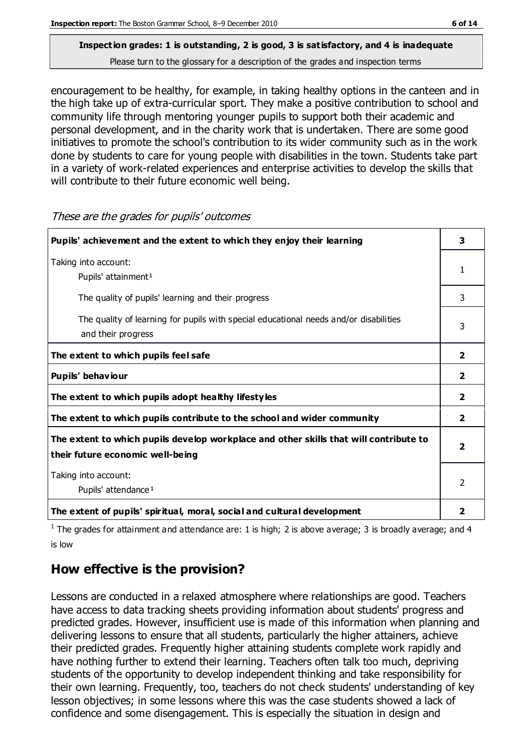encouragement to be healthy, for example, in taking healthy options in the canteen and in the high take up of extra-curricular sport. They make a positive contribution to school and community life through mentoring younger pupils to support both their academic and personal development, and in the charity work that is undertaken. There are some good initiatives to promote the school's contribution to its wider community such as in the work done by students to care for young people with disabilities in the town. Students take part in a variety of work-related experiences and enterprise activities to develop the skills that will contribute to their future economic well being.

| Pupils' achievement and the extent to which they enjoy their learning                                                     |                         |
|---------------------------------------------------------------------------------------------------------------------------|-------------------------|
| Taking into account:<br>Pupils' attainment <sup>1</sup>                                                                   |                         |
| The quality of pupils' learning and their progress                                                                        | 3                       |
| The quality of learning for pupils with special educational needs and/or disabilities<br>and their progress               | 3                       |
| The extent to which pupils feel safe                                                                                      | $\overline{2}$          |
| Pupils' behaviour                                                                                                         | $\overline{2}$          |
| The extent to which pupils adopt healthy lifestyles                                                                       | $\mathbf{2}$            |
| The extent to which pupils contribute to the school and wider community                                                   | $\overline{2}$          |
| The extent to which pupils develop workplace and other skills that will contribute to<br>their future economic well-being | $\overline{\mathbf{2}}$ |
| Taking into account:<br>Pupils' attendance <sup>1</sup>                                                                   |                         |
| The extent of pupils' spiritual, moral, social and cultural development                                                   | 2                       |

These are the grades for pupils' outcomes

<sup>1</sup> The grades for attainment and attendance are: 1 is high; 2 is above average; 3 is broadly average; and 4 is low

## **How effective is the provision?**

Lessons are conducted in a relaxed atmosphere where relationships are good. Teachers have access to data tracking sheets providing information about students' progress and predicted grades. However, insufficient use is made of this information when planning and delivering lessons to ensure that all students, particularly the higher attainers, achieve their predicted grades. Frequently higher attaining students complete work rapidly and have nothing further to extend their learning. Teachers often talk too much, depriving students of the opportunity to develop independent thinking and take responsibility for their own learning. Frequently, too, teachers do not check students' understanding of key lesson objectives; in some lessons where this was the case students showed a lack of confidence and some disengagement. This is especially the situation in design and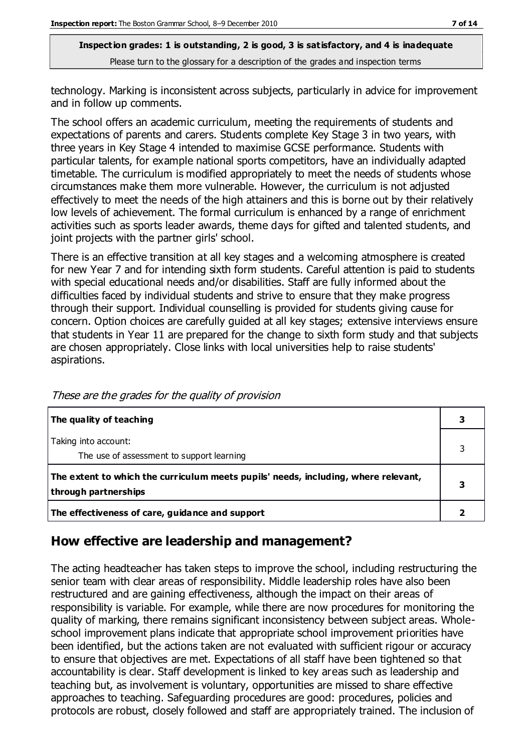technology. Marking is inconsistent across subjects, particularly in advice for improvement and in follow up comments.

The school offers an academic curriculum, meeting the requirements of students and expectations of parents and carers. Students complete Key Stage 3 in two years, with three years in Key Stage 4 intended to maximise GCSE performance. Students with particular talents, for example national sports competitors, have an individually adapted timetable. The curriculum is modified appropriately to meet the needs of students whose circumstances make them more vulnerable. However, the curriculum is not adjusted effectively to meet the needs of the high attainers and this is borne out by their relatively low levels of achievement. The formal curriculum is enhanced by a range of enrichment activities such as sports leader awards, theme days for gifted and talented students, and joint projects with the partner girls' school.

There is an effective transition at all key stages and a welcoming atmosphere is created for new Year 7 and for intending sixth form students. Careful attention is paid to students with special educational needs and/or disabilities. Staff are fully informed about the difficulties faced by individual students and strive to ensure that they make progress through their support. Individual counselling is provided for students giving cause for concern. Option choices are carefully guided at all key stages; extensive interviews ensure that students in Year 11 are prepared for the change to sixth form study and that subjects are chosen appropriately. Close links with local universities help to raise students' aspirations.

| The quality of teaching                                                                                    |  |
|------------------------------------------------------------------------------------------------------------|--|
| Taking into account:<br>The use of assessment to support learning                                          |  |
| The extent to which the curriculum meets pupils' needs, including, where relevant,<br>through partnerships |  |
| The effectiveness of care, guidance and support                                                            |  |

These are the grades for the quality of provision

## **How effective are leadership and management?**

The acting headteacher has taken steps to improve the school, including restructuring the senior team with clear areas of responsibility. Middle leadership roles have also been restructured and are gaining effectiveness, although the impact on their areas of responsibility is variable. For example, while there are now procedures for monitoring the quality of marking, there remains significant inconsistency between subject areas. Wholeschool improvement plans indicate that appropriate school improvement priorities have been identified, but the actions taken are not evaluated with sufficient rigour or accuracy to ensure that objectives are met. Expectations of all staff have been tightened so that accountability is clear. Staff development is linked to key areas such as leadership and teaching but, as involvement is voluntary, opportunities are missed to share effective approaches to teaching. Safeguarding procedures are good: procedures, policies and protocols are robust, closely followed and staff are appropriately trained. The inclusion of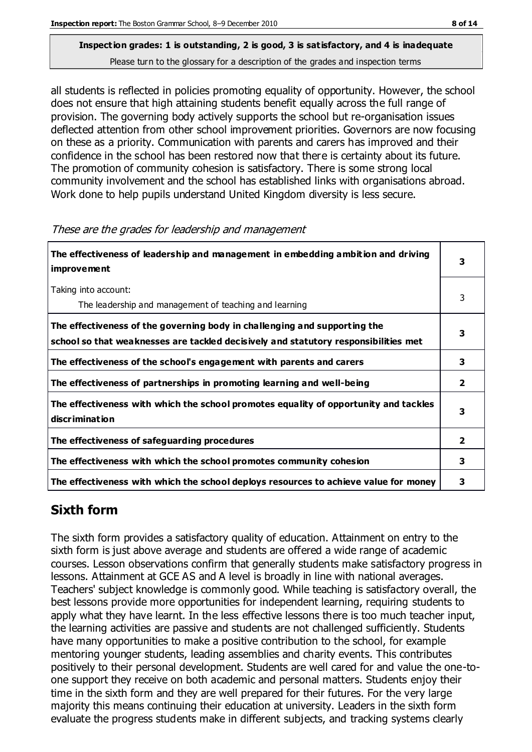all students is reflected in policies promoting equality of opportunity. However, the school does not ensure that high attaining students benefit equally across the full range of provision. The governing body actively supports the school but re-organisation issues deflected attention from other school improvement priorities. Governors are now focusing on these as a priority. Communication with parents and carers has improved and their confidence in the school has been restored now that there is certainty about its future. The promotion of community cohesion is satisfactory. There is some strong local community involvement and the school has established links with organisations abroad. Work done to help pupils understand United Kingdom diversity is less secure.

| The effectiveness of leadership and management in embedding ambition and driving<br><i>improvement</i>                                                           |              |
|------------------------------------------------------------------------------------------------------------------------------------------------------------------|--------------|
| Taking into account:<br>The leadership and management of teaching and learning                                                                                   | 3            |
| The effectiveness of the governing body in challenging and supporting the<br>school so that weaknesses are tackled decisively and statutory responsibilities met | 3            |
| The effectiveness of the school's engagement with parents and carers                                                                                             | 3            |
| The effectiveness of partnerships in promoting learning and well-being                                                                                           | $\mathbf{2}$ |
| The effectiveness with which the school promotes equality of opportunity and tackles<br>discrimination                                                           | 3            |
| The effectiveness of safeguarding procedures                                                                                                                     | 2            |
| The effectiveness with which the school promotes community cohesion                                                                                              | 3            |
| The effectiveness with which the school deploys resources to achieve value for money                                                                             | 3            |

#### These are the grades for leadership and management

## **Sixth form**

The sixth form provides a satisfactory quality of education. Attainment on entry to the sixth form is just above average and students are offered a wide range of academic courses. Lesson observations confirm that generally students make satisfactory progress in lessons. Attainment at GCE AS and A level is broadly in line with national averages. Teachers' subject knowledge is commonly good. While teaching is satisfactory overall, the best lessons provide more opportunities for independent learning, requiring students to apply what they have learnt. In the less effective lessons there is too much teacher input, the learning activities are passive and students are not challenged sufficiently. Students have many opportunities to make a positive contribution to the school, for example mentoring younger students, leading assemblies and charity events. This contributes positively to their personal development. Students are well cared for and value the one-toone support they receive on both academic and personal matters. Students enjoy their time in the sixth form and they are well prepared for their futures. For the very large majority this means continuing their education at university. Leaders in the sixth form evaluate the progress students make in different subjects, and tracking systems clearly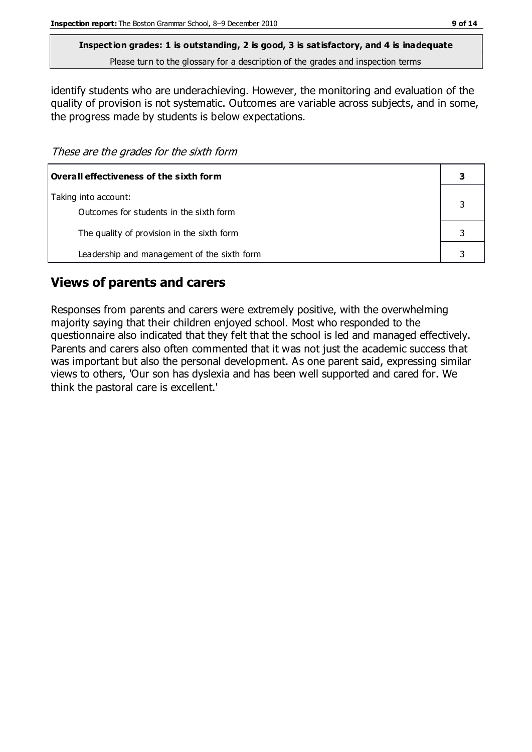**Inspection grades: 1 is outstanding, 2 is good, 3 is satisfactory, and 4 is inadequate**

Please turn to the glossary for a description of the grades and inspection terms

identify students who are underachieving. However, the monitoring and evaluation of the quality of provision is not systematic. Outcomes are variable across subjects, and in some, the progress made by students is below expectations.

These are the grades for the sixth form

| Overall effectiveness of the sixth form                         |  |
|-----------------------------------------------------------------|--|
| Taking into account:<br>Outcomes for students in the sixth form |  |
| The quality of provision in the sixth form                      |  |
| Leadership and management of the sixth form                     |  |

## **Views of parents and carers**

Responses from parents and carers were extremely positive, with the overwhelming majority saying that their children enjoyed school. Most who responded to the questionnaire also indicated that they felt that the school is led and managed effectively. Parents and carers also often commented that it was not just the academic success that was important but also the personal development. As one parent said, expressing similar views to others, 'Our son has dyslexia and has been well supported and cared for. We think the pastoral care is excellent.'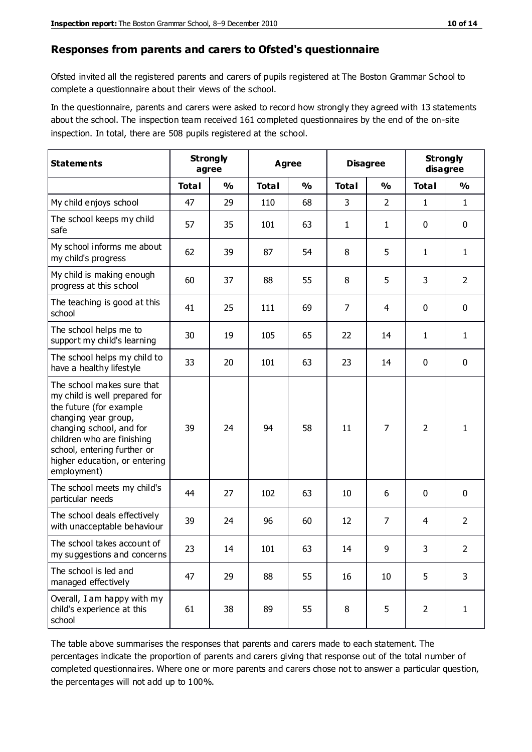#### **Responses from parents and carers to Ofsted's questionnaire**

Ofsted invited all the registered parents and carers of pupils registered at The Boston Grammar School to complete a questionnaire about their views of the school.

In the questionnaire, parents and carers were asked to record how strongly they agreed with 13 statements about the school. The inspection team received 161 completed questionnaires by the end of the on-site inspection. In total, there are 508 pupils registered at the school.

| <b>Statements</b>                                                                                                                                                                                                                                       | <b>Strongly</b><br>agree |               |              | Agree         |                | <b>Disagree</b> |                | <b>Strongly</b><br>disagree |
|---------------------------------------------------------------------------------------------------------------------------------------------------------------------------------------------------------------------------------------------------------|--------------------------|---------------|--------------|---------------|----------------|-----------------|----------------|-----------------------------|
|                                                                                                                                                                                                                                                         | <b>Total</b>             | $\frac{0}{0}$ | <b>Total</b> | $\frac{0}{0}$ | <b>Total</b>   | $\frac{0}{0}$   | <b>Total</b>   | $\frac{0}{0}$               |
| My child enjoys school                                                                                                                                                                                                                                  | 47                       | 29            | 110          | 68            | 3              | $\overline{2}$  | 1              | $\mathbf{1}$                |
| The school keeps my child<br>safe                                                                                                                                                                                                                       | 57                       | 35            | 101          | 63            | 1              | $\mathbf{1}$    | $\mathbf 0$    | $\mathbf 0$                 |
| My school informs me about<br>my child's progress                                                                                                                                                                                                       | 62                       | 39            | 87           | 54            | 8              | 5               | $\mathbf{1}$   | $\mathbf{1}$                |
| My child is making enough<br>progress at this school                                                                                                                                                                                                    | 60                       | 37            | 88           | 55            | 8              | 5               | 3              | $\overline{2}$              |
| The teaching is good at this<br>school                                                                                                                                                                                                                  | 41                       | 25            | 111          | 69            | $\overline{7}$ | 4               | $\mathbf 0$    | $\mathbf 0$                 |
| The school helps me to<br>support my child's learning                                                                                                                                                                                                   | 30                       | 19            | 105          | 65            | 22             | 14              | 1              | $\mathbf{1}$                |
| The school helps my child to<br>have a healthy lifestyle                                                                                                                                                                                                | 33                       | 20            | 101          | 63            | 23             | 14              | $\mathbf 0$    | $\mathbf 0$                 |
| The school makes sure that<br>my child is well prepared for<br>the future (for example<br>changing year group,<br>changing school, and for<br>children who are finishing<br>school, entering further or<br>higher education, or entering<br>employment) | 39                       | 24            | 94           | 58            | 11             | $\overline{7}$  | $\overline{2}$ | 1                           |
| The school meets my child's<br>particular needs                                                                                                                                                                                                         | 44                       | 27            | 102          | 63            | 10             | 6               | $\mathbf 0$    | $\mathbf 0$                 |
| The school deals effectively<br>with unacceptable behaviour                                                                                                                                                                                             | 39                       | 24            | 96           | 60            | 12             | 7               | 4              | $\overline{2}$              |
| The school takes account of<br>my suggestions and concerns                                                                                                                                                                                              | 23                       | 14            | 101          | 63            | 14             | 9               | 3              | 2                           |
| The school is led and<br>managed effectively                                                                                                                                                                                                            | 47                       | 29            | 88           | 55            | 16             | 10              | 5              | 3                           |
| Overall, I am happy with my<br>child's experience at this<br>school                                                                                                                                                                                     | 61                       | 38            | 89           | 55            | 8              | 5               | $\overline{2}$ | $\mathbf{1}$                |

The table above summarises the responses that parents and carers made to each statement. The percentages indicate the proportion of parents and carers giving that response out of the total number of completed questionnaires. Where one or more parents and carers chose not to answer a particular question, the percentages will not add up to 100%.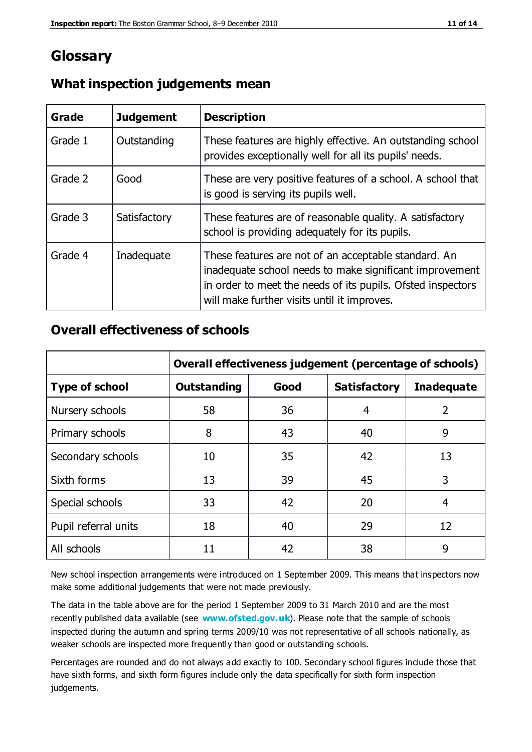## **Glossary**

| Grade   | <b>Judgement</b> | <b>Description</b>                                                                                                                                                                                                            |  |
|---------|------------------|-------------------------------------------------------------------------------------------------------------------------------------------------------------------------------------------------------------------------------|--|
| Grade 1 | Outstanding      | These features are highly effective. An outstanding school<br>provides exceptionally well for all its pupils' needs.                                                                                                          |  |
| Grade 2 | Good             | These are very positive features of a school. A school that<br>is good is serving its pupils well.                                                                                                                            |  |
| Grade 3 | Satisfactory     | These features are of reasonable quality. A satisfactory<br>school is providing adequately for its pupils.                                                                                                                    |  |
| Grade 4 | Inadequate       | These features are not of an acceptable standard. An<br>inadequate school needs to make significant improvement<br>in order to meet the needs of its pupils. Ofsted inspectors<br>will make further visits until it improves. |  |

#### **What inspection judgements mean**

#### **Overall effectiveness of schools**

|                       | Overall effectiveness judgement (percentage of schools) |      |                     |                   |
|-----------------------|---------------------------------------------------------|------|---------------------|-------------------|
| <b>Type of school</b> | <b>Outstanding</b>                                      | Good | <b>Satisfactory</b> | <b>Inadequate</b> |
| Nursery schools       | 58                                                      | 36   | 4                   | 2                 |
| Primary schools       | 8                                                       | 43   | 40                  | 9                 |
| Secondary schools     | 10                                                      | 35   | 42                  | 13                |
| Sixth forms           | 13                                                      | 39   | 45                  | 3                 |
| Special schools       | 33                                                      | 42   | 20                  | 4                 |
| Pupil referral units  | 18                                                      | 40   | 29                  | 12                |
| All schools           | 11                                                      | 42   | 38                  | 9                 |

New school inspection arrangements were introduced on 1 September 2009. This means that inspectors now make some additional judgements that were not made previously.

The data in the table above are for the period 1 September 2009 to 31 March 2010 and are the most recently published data available (see **[www.ofsted.gov.uk](http://www.ofsted.gov.uk/)**). Please note that the sample of schools inspected during the autumn and spring terms 2009/10 was not representative of all schools nationally, as weaker schools are inspected more frequently than good or outstanding schools.

Percentages are rounded and do not always add exactly to 100. Secondary school figures include those that have sixth forms, and sixth form figures include only the data specifically for sixth form inspection judgements.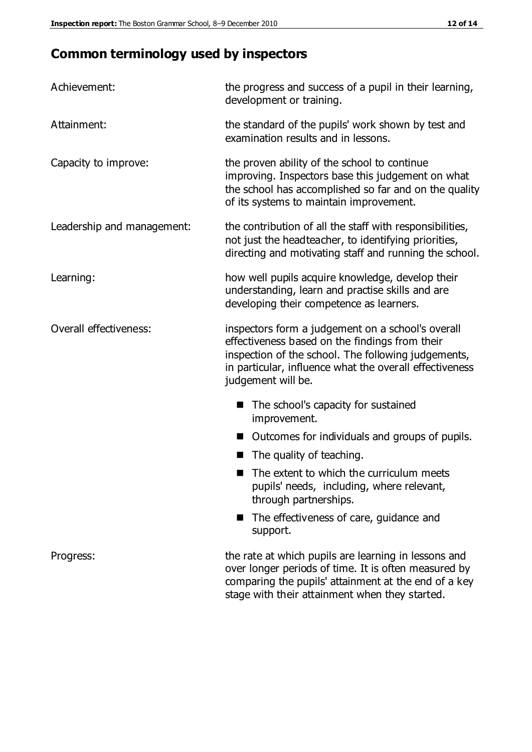## **Common terminology used by inspectors**

| Achievement:               | the progress and success of a pupil in their learning,<br>development or training.                                                                                                                                                          |  |  |
|----------------------------|---------------------------------------------------------------------------------------------------------------------------------------------------------------------------------------------------------------------------------------------|--|--|
| Attainment:                | the standard of the pupils' work shown by test and<br>examination results and in lessons.                                                                                                                                                   |  |  |
| Capacity to improve:       | the proven ability of the school to continue<br>improving. Inspectors base this judgement on what<br>the school has accomplished so far and on the quality<br>of its systems to maintain improvement.                                       |  |  |
| Leadership and management: | the contribution of all the staff with responsibilities,<br>not just the headteacher, to identifying priorities,<br>directing and motivating staff and running the school.                                                                  |  |  |
| Learning:                  | how well pupils acquire knowledge, develop their<br>understanding, learn and practise skills and are<br>developing their competence as learners.                                                                                            |  |  |
| Overall effectiveness:     | inspectors form a judgement on a school's overall<br>effectiveness based on the findings from their<br>inspection of the school. The following judgements,<br>in particular, influence what the overall effectiveness<br>judgement will be. |  |  |
|                            | The school's capacity for sustained<br>improvement.                                                                                                                                                                                         |  |  |
|                            | Outcomes for individuals and groups of pupils.                                                                                                                                                                                              |  |  |
|                            | The quality of teaching.                                                                                                                                                                                                                    |  |  |
|                            | The extent to which the curriculum meets<br>pupils' needs, including, where relevant,<br>through partnerships.                                                                                                                              |  |  |
|                            | The effectiveness of care, guidance and<br>support.                                                                                                                                                                                         |  |  |
| Progress:                  | the rate at which pupils are learning in lessons and<br>over longer periods of time. It is often measured by<br>comparing the pupils' attainment at the end of a key                                                                        |  |  |

stage with their attainment when they started.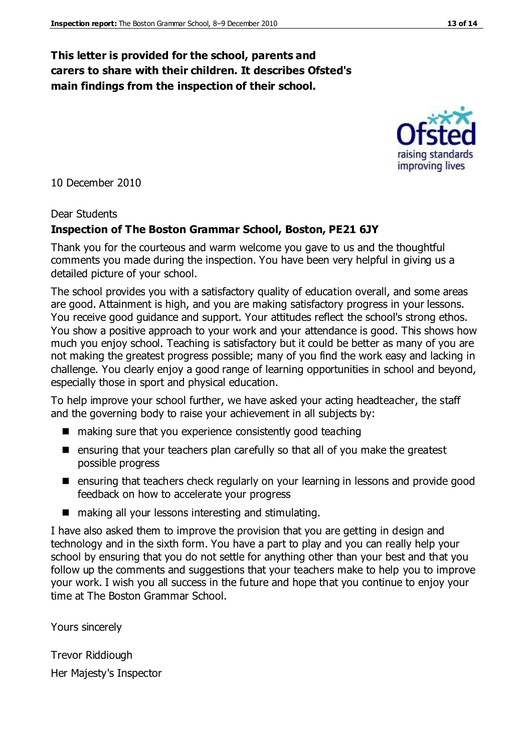#### **This letter is provided for the school, parents and carers to share with their children. It describes Ofsted's main findings from the inspection of their school.**

10 December 2010

#### Dear Students

#### **Inspection of The Boston Grammar School, Boston, PE21 6JY**

Thank you for the courteous and warm welcome you gave to us and the thoughtful comments you made during the inspection. You have been very helpful in giving us a detailed picture of your school.

The school provides you with a satisfactory quality of education overall, and some areas are good. Attainment is high, and you are making satisfactory progress in your lessons. You receive good guidance and support. Your attitudes reflect the school's strong ethos. You show a positive approach to your work and your attendance is good. This shows how much you enjoy school. Teaching is satisfactory but it could be better as many of you are not making the greatest progress possible; many of you find the work easy and lacking in challenge. You clearly enjoy a good range of learning opportunities in school and beyond, especially those in sport and physical education.

To help improve your school further, we have asked your acting headteacher, the staff and the governing body to raise your achievement in all subjects by:

- making sure that you experience consistently good teaching
- ensuring that your teachers plan carefully so that all of you make the greatest possible progress
- ensuring that teachers check regularly on your learning in lessons and provide good feedback on how to accelerate your progress
- $\blacksquare$  making all your lessons interesting and stimulating.

I have also asked them to improve the provision that you are getting in design and technology and in the sixth form. You have a part to play and you can really help your school by ensuring that you do not settle for anything other than your best and that you follow up the comments and suggestions that your teachers make to help you to improve your work. I wish you all success in the future and hope that you continue to enjoy your time at The Boston Grammar School.

Yours sincerely

Trevor Riddiough Her Majesty's Inspector